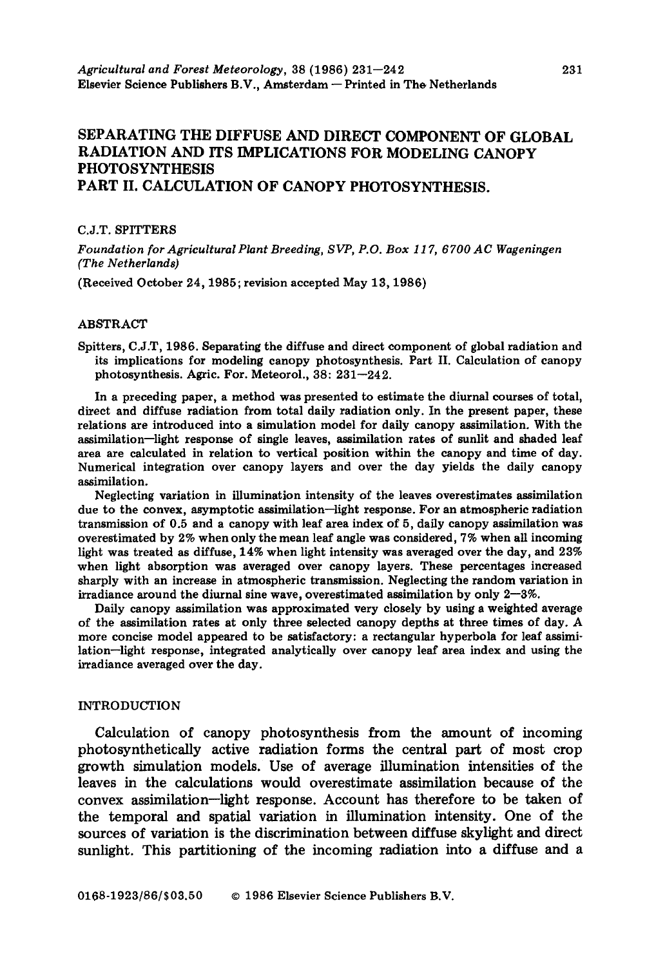# **SEPARATING THE DIFFUSE AND DIRECT COMPONENT OF GLOBAL RADIATION AND ITS IMPLICATIONS FOR MODELING CANOPY PHOTOSYNTHESIS PART II. CALCULATION OF CANOPY PHOTOSYNTHESIS.**

## C.J.T. **SPITTERS**

Foundation for Agricultural Plant Breeding, SVP, P.O. Box 117, 6700 AC Wageningen *(The Netherlands)* 

(Received October 24, 1985; revision accepted May 13, 1986)

## **ABSTRACT**

Spitters, C.J.T, 1986. Separating the diffuse and direct component of global radiation and its implications for modeling canopy photosynthesis. Part II. Calculation of canopy photosynthesis. Agric. For. Meteorol., 38: 231-242.

In a preceding paper, a method was presented to estimate the diurnal courses of total, direct and diffuse radiation from total daily radiation only. In the present paper, these relations are introduced into a simulation model for daily canopy assimilation. With the assimilation-light response of single leaves, assimilation rates of sunlit and shaded leaf area are calculated in relation to vertical position within the canopy and time of day. Numerical integration over canopy layers and over the day yields the daily canopy assimilation.

Neglecting variation in illumination intensity of the leaves overestimates assimilation due to the convex, asymptotic assimilation-light response. For an atmospheric radiation transmission of 0.5 and a canopy with leaf area index of 5, daily canopy assimilation was overestimated by 2% when only the mean leaf angle was considered, 7% when all incoming light was treated as diffuse, 14% when light intensity was averaged over the day, and 23% when light absorption was averaged over canopy layers. These percentages increased sharply with an increase in atmospheric transmission. Neglecting the random variation in irradiance around the diurnal sine wave, overestimated assimilation by only  $2-3\%$ .

Daily canopy assimilation was approximated very closely by using a weighted average of the assimilation rates at only three selected canopy depths at three times of day. A more concise model appeared to be satisfactory: a rectangular hyperbola for leaf assimilation-light response, integrated analytically over canopy leaf area index and using the irradiance averaged over the day.

#### **INTRODUCTION**

Calculation of canopy photosynthesis from the amount of incoming photosynthetically active radiation forms the central part of most crop growth simulation models. Use of average illumination intensities of the leaves in the calculations would overestimate assimilation because of the convex assimilation--light response. Account has therefore to be taken of the temporal and spatial variation in illumination intensity. One of the sources of variation is the discrimination between diffuse skylight and direct sunlight. This partitioning of the incoming radiation into a diffuse and a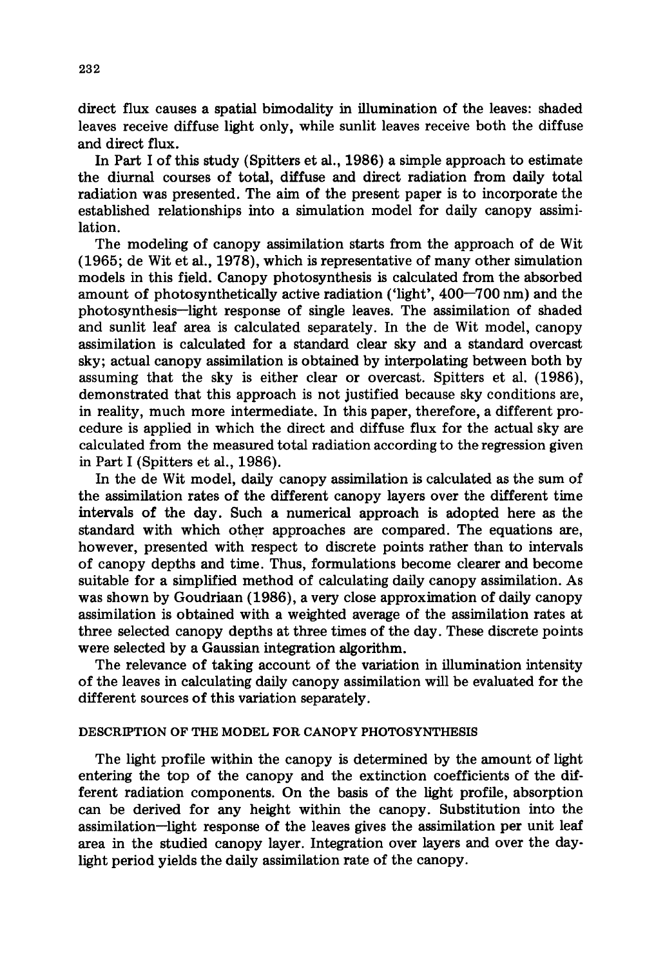direct flux causes a spatial bimodality in illumination of the leaves: shaded leaves receive diffuse light only, while sunlit leaves receive both the diffuse and direct flux.

In Part I of this study (Spitters et al., 1986) a simple approach to estimate the diurnal courses of total, diffuse and direct radiation from daily total radiation was presented. The aim of the present paper is to incorporate the established relationships into a simulation model for daily canopy assimilation.

The modeling of canopy assimilation starts from the approach of de Wit (1965; de Wit et al., 1978), which is representative of many other simulation models in this field. Canopy photosynthesis is calculated from the absorbed amount of photosynthetically active radiation ('light', 400-700 nm) and the photosynthesis--light response of single leaves. The assimilation of shaded and sunlit leaf area is calculated separately. In the de Wit model, canopy assimilation is calculated for a standard clear sky and a standard overcast sky; actual canopy assimilation is obtained by interpolating between both by assuming that the sky is either clear or overcast. Spitters et al. (1986), demonstrated that this approach is not justified because sky conditions are, in reality, much more intermediate. In this paper, therefore, a different procedure is applied in which the direct and diffuse flux for the actual sky are calculated from the measured total radiation according to the regression given in Part I (Spitters et al., 1986).

In the de Wit model, daily canopy assimilation is calculated as the sum of the assimilation rates of the different canopy layers over the different time intervals of the day. Such a numerical approach is adopted here as the standard with which other approaches are compared. The equations are, however, presented with respect to discrete points rather than to intervals of canopy depths and time. Thus, formulations become clearer and become suitable for a simplified method of calculating daily canopy assimilation. As was shown by Goudriaan (1986), a very close approximation of daily canopy assimilation is obtained with a weighted average of the assimilation rates at three selected canopy depths at three times of the day. These discrete points were selected by a Gaussian integration algorithm.

The relevance of taking account of the variation in illumination intensity of the leaves in calculating daily canopy assimilation will be evaluated for the different sources of this variation separately.

## DESCRIPTION OF THE MODEL FOR CANOPY PHOTOSYNTHESIS

The light profile within the canopy is determined by the amount of light entering the top of the canopy and the extinction coefficients of the different radiation components. On the basis of the light profile, absorption can be derived for any height within the canopy. Substitution into the assimilation-light response of the leaves gives the assimilation per unit leaf area in the studied canopy layer. Integration over layers and over the daylight period yields the daily assimilation rate of the canopy.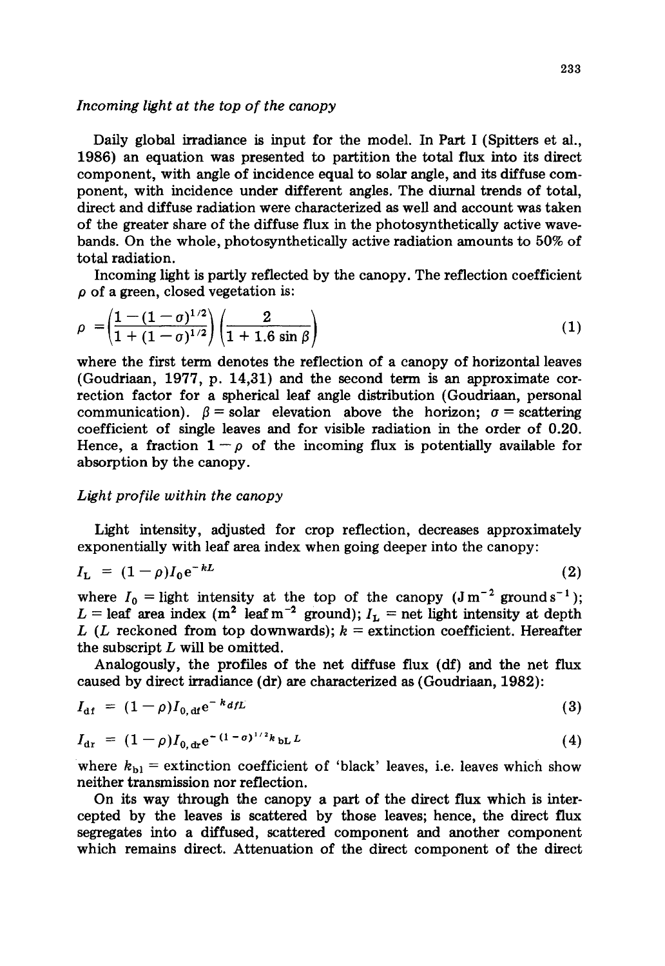## *Incoming light at the top of the canopy*

Daily global irradiance is input for the model. In Part I (Spitters et al., 1986) an equation was presented to partition the total flux into its direct component, with angle of incidence equal to solar angle, and its diffuse component, with incidence under different angles. The diurnal trends of total, direct and diffuse radiation were characterized as well and account was taken of the greater share of the diffuse flux in the photosynthetically active wavebands. On the whole, photosynthetically active radiation amounts to 50% of total radiation.

Incoming light is partly reflected by the canopy. The reflection coefficient  $\rho$  of a green, closed vegetation is:

$$
\rho = \left(\frac{1 - (1 - \sigma)^{1/2}}{1 + (1 - \sigma)^{1/2}}\right) \left(\frac{2}{1 + 1.6 \sin \beta}\right) \tag{1}
$$

where the first term denotes the reflection of a canopy of horizontal leaves (Goudriaan, 1977, p. 14,31) and the second term is an approximate correction factor for a spherical leaf angle distribution (Goudriaan, personal communication).  $\beta$  = solar elevation above the horizon;  $\sigma$  = scattering coefficient of single leaves and for visible radiation in the order of 0.20. Hence, a fraction  $1-\rho$  of the incoming flux is potentially available for absorption by the canopy.

## *Light profile within the canopy*

Light intensity, adjusted for crop reflection, decreases approximately exponentially with leaf area index when going deeper into the canopy:

$$
I_{\mathbf{L}} = (1 - \rho)I_0 e^{-kL} \tag{2}
$$

where  $I_0 =$  light intensity at the top of the canopy  $(J m^{-2} \text{ ground s}^{-1})$ ;  $L =$  leaf area index (m<sup>2</sup> leaf m<sup>-2</sup> ground);  $I<sub>L</sub> =$  net light intensity at depth L (L reckoned from top downwards);  $k =$  extinction coefficient. Hereafter the subscript  $L$  will be omitted.

Analogously, the profiles of the net diffuse flux (df) and the net flux caused by direct irradiance (dr) are characterized as (Goudriaan, 1982):

$$
I_{\rm df} = (1 - \rho)I_{0, \rm df} e^{-k_d t L} \tag{3}
$$

$$
I_{\rm dr} = (1 - \rho)I_{0, \rm dr} e^{-(1 - \sigma)^{1/2}k} b L^2
$$
 (4)

where  $k_{\text{bl}}$  = extinction coefficient of 'black' leaves, i.e. leaves which show neither transmission nor reflection.

On its way through the canopy a part of the direct flux which is intercepted by the leaves is scattered by those leaves; hence, the direct flux segregates into a diffused, scattered component and another component which remains direct. Attenuation of the direct component of the direct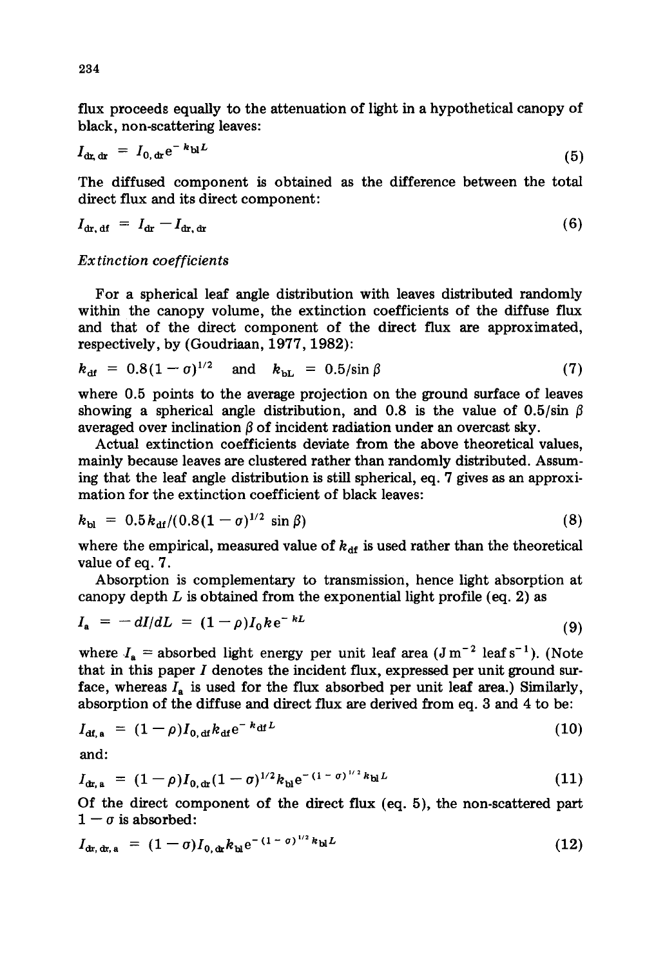flux proceeds equally to the attenuation of light in a hypothetical canopy of black, non-scattering leaves:

$$
I_{\text{dx, dr}} = I_{0, \text{dr}} e^{-k_{\text{D}} L} \tag{5}
$$

The diffused component is obtained as the difference between the total direct flux and its direct component:

$$
I_{\text{dr, df}} = I_{\text{dr}} - I_{\text{dr, dr}} \tag{6}
$$

## *Extinction coefficients*

For a spherical leaf angle distribution with leaves distributed randomly within the canopy volume, the extinction coefficients of the diffuse flux and that of the direct component of the direct flux are approximated, respectively, by (Goudriaan, 1977, 1982):

$$
k_{\rm df} = 0.8(1 - \sigma)^{1/2} \quad \text{and} \quad k_{\rm bL} = 0.5/\sin\beta \tag{7}
$$

where 0.5 points to the average projection on the ground surface of leaves showing a spherical angle distribution, and 0.8 is the value of 0.5/sin  $\beta$ averaged over inclination  $\beta$  of incident radiation under an overcast sky.

Actual extinction coefficients deviate from the above theoretical values, mainly because leaves are clustered rather than randomly distributed. Assuming that the leaf angle distribution is still spherical, eq. 7 gives as an approximation for the extinction coefficient of black leaves:

$$
k_{\rm bl} = 0.5 k_{\rm df} / (0.8(1 - \sigma)^{1/2} \sin \beta) \tag{8}
$$

where the empirical, measured value of  $k_{df}$  is used rather than the theoretical value of eq. 7.

Absorption is complementary to transmission, hence light absorption at canopy depth  $L$  is obtained from the exponential light profile (eq. 2) as

$$
I_{a} = -dI/dL = (1 - \rho)I_{0}ke^{-kL}
$$
\n(9)

where  $I_a$  = absorbed light energy per unit leaf area (J m<sup>-2</sup> leaf s<sup>-1</sup>). (Note that in this paper  $I$  denotes the incident flux, expressed per unit ground surface, whereas  $I_a$  is used for the flux absorbed per unit leaf area.) Similarly, absorption of the diffuse and direct flux are derived from eq. 3 and 4 to be:

$$
I_{\text{df, a}} = (1 - \rho)I_{0, \text{df}} k_{\text{df}} e^{-k_{\text{df}} L}
$$
 (10)

and:

$$
I_{\text{dr, a}} = (1 - \rho)I_{0, \text{dr}}(1 - \sigma)^{1/2} k_{\text{bl}} e^{-(1 - \sigma)^{1/2} k_{\text{bl}} L}
$$
(11)

Of the direct component of the direct flux (eq. 5), the non-scattered part  $1 - \sigma$  is absorbed:

$$
I_{\text{dr, dr, a}} = (1 - \sigma) I_{0, \text{dr}} k_{\text{bl}} e^{-(1 - \sigma)^{1/2} k_{\text{bl}} L}
$$
 (12)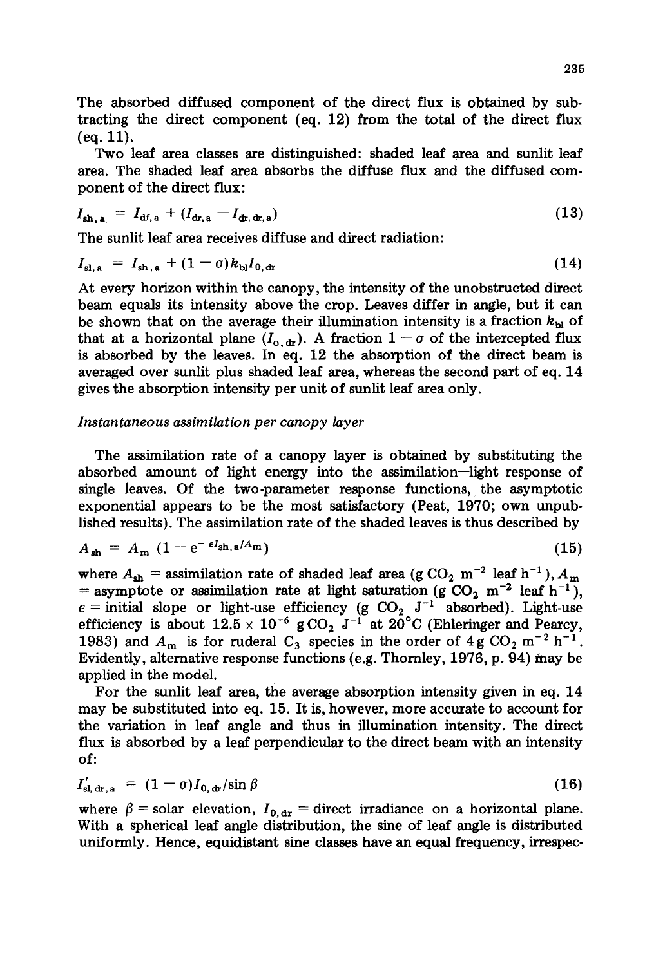The absorbed diffused component of the direct flux is obtained by subtracting the direct component (eq. 12) from the total of the direct flux (eq. 11).

Two leaf area classes are distinguished: shaded leaf area and sunlit leaf area. The shaded leaf area absorbs the diffuse flux and the diffused component of the direct flux:

$$
I_{\mathrm{sh},\,\mathrm{a}} = I_{\mathrm{df},\,\mathrm{a}} + (I_{\mathrm{dr},\,\mathrm{a}} - I_{\mathrm{dr},\,\mathrm{dr},\,\mathrm{a}}) \tag{13}
$$

The sunlit leaf area receives diffuse and direct radiation:

$$
I_{\mathrm{sl},\,\mathrm{a}} = I_{\mathrm{sh},\,\mathrm{a}} + (1-\sigma) k_{\mathrm{bl}} I_{0,\,\mathrm{dr}} \tag{14}
$$

At every horizon within the canopy, the intensity of the unobstructed direct beam equals its intensity above the crop. Leaves differ in angle, but it can be shown that on the average their illumination intensity is a fraction  $k_{\rm b}$  of that at a horizontal plane  $(I_{o, dr})$ . A fraction  $1 - \sigma$  of the intercepted flux is absorbed by the leaves. In eq. 12 the absorption of the direct beam is averaged over sunlit plus shaded leaf area, whereas the second part of eq. 14 gives the absorption intensity per unit of sunlit leaf area only.

## *Instantaneous assimilation per canopy layer*

The assimilation rate of a canopy layer is obtained by substituting the absorbed amount of light energy into the assimilation--light response of single leaves. Of the two-parameter response functions, the asymptotic exponential appears to be the most satisfactory (Peat, 1970; own unpublished results). The assimilation rate of the shaded leaves is thus described by

$$
A_{\rm sh} = A_{\rm m} \left( 1 - e^{-\epsilon I_{\rm sh, a} / A_{\rm m}} \right) \tag{15}
$$

where  $A_{sh}$  = assimilation rate of shaded leaf area (g CO<sub>2</sub> m<sup>-2</sup> leaf h<sup>-1</sup>),  $A_m$ = asymptote or assimilation rate at light saturation (g  $CO_2$  m<sup>-2</sup> leaf h<sup>-1</sup>),  $\epsilon$  = initial slope or light-use efficiency (g CO<sub>2</sub> J<sup>-1</sup> absorbed). Light-use efficiency is about  $12.5 \times 10^{-6}$  g CO<sub>2</sub> J<sup>-1</sup> at 20°C (Ehleringer and Pearcy, 1983) and  $A_m$  is for ruderal C<sub>3</sub> species in the order of 4g CO<sub>2</sub> m<sup>-2</sup> h<sup>-1</sup>. Evidently, alternative response functions (e.g. Thornley, 1976, p. 94) may be applied in the model.

For the sunlit leaf area, the average absorption intensity given in eq. 14 may be substituted into eq. 15. It is, however, more accurate to account for the variation in leaf angle and thus in illumination intensity. The direct flux is absorbed by a leaf perpendicular to the direct beam with an intensity of:

$$
I'_{\rm sl. dr. a} = (1 - \sigma) I_{0, \rm dr} / \sin \beta \tag{16}
$$

where  $\beta$  = solar elevation,  $I_{0, dr}$  = direct irradiance on a horizontal plane. With a spherical leaf angle distribution, the sine of leaf angle is distributed uniformly. Hence, equidistant sine classes have an equal frequency, irrespec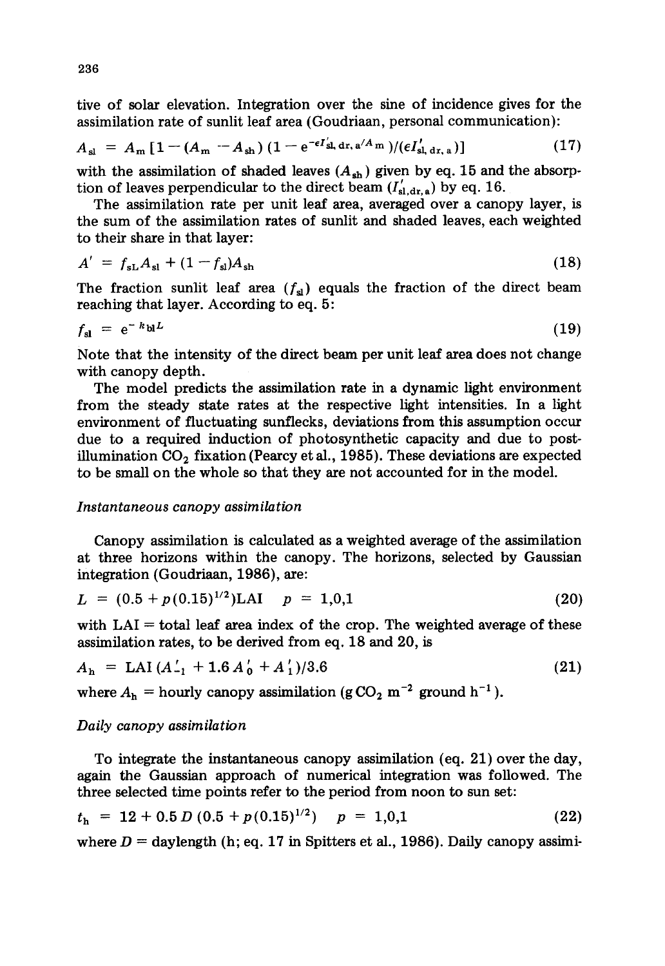tive of solar elevation. Integration over the sine of incidence gives for the assimilation rate of sunlit leaf area (Goudriaan, personal communication):

$$
A_{\rm sl} = A_{\rm m} \left[ 1 - (A_{\rm m} - A_{\rm sh}) \left( 1 - e^{-\epsilon I_{\rm sl, dr, a}^{\prime} / A_{\rm m}} \right) / (\epsilon I_{\rm sl, dr, a}^{\prime}) \right]
$$
(17)

with the assimilation of shaded leaves  $(A_{sh})$  given by eq. 15 and the absorption of leaves perpendicular to the direct beam  $(I'_{sl,dr,a})$  by eq. 16.

The assimilation rate per unit leaf area, averaged over a canopy layer, is the sum of the assimilation rates of sunlit and shaded leaves, each weighted to their share in that layer:

$$
A' = f_{sL}A_{s1} + (1 - f_{s1})A_{s1} \tag{18}
$$

The fraction sunlit leaf area  $(f_{sl})$  equals the fraction of the direct beam reaching that layer. According to eq. 5:

$$
f_{\rm sl} = e^{-k_{\rm bl}L} \tag{19}
$$

Note that the intensity of the direct beam per unit leaf area does not change with canopy depth.

The model predicts the assimilation rate in a dynamic light environment from the steady state rates at the respective light intensities. In a light environment of fluctuating sunflecks, deviations from this assumption occur due to a required induction of photosynthetic capacity and due to postillumination  $CO<sub>2</sub>$  fixation (Pearcy et al., 1985). These deviations are expected to be small on the whole so that they are not accounted for in the model.

### *Instantaneous canopy assimilation*

Canopy assimilation is calculated as a weighted average of the assimilation at three horizons within the canopy. The horizons, selected by Gaussian integration (Goudriaan, 1986), are:

$$
L = (0.5 + p(0.15)^{1/2})LAI \t p = 1,0,1
$$
 (20)

with  $LAI = total$  leaf area index of the crop. The weighted average of these assimilation rates, to be derived from eq. 18 and 20, is

$$
A_{\rm h} = {\rm LAI} \left( A_{-1}^{\dagger} + 1.6 \, A_{0}^{\dagger} + A_{1}^{\dagger} \right) / 3.6 \tag{21}
$$

where  $A_h$  = hourly canopy assimilation (g CO<sub>2</sub> m<sup>-2</sup> ground h<sup>-1</sup>).

## *Daily canopy assimilation*

To integrate the instantaneous canopy assimilation (eq. 21) over the day, again the Gaussian approach of numerical integration was followed. The three selected time points refer to the period from noon to sun set:

$$
t_{\rm h} = 12 + 0.5 D (0.5 + p(0.15)^{1/2}) \quad p = 1,0,1 \tag{22}
$$

where  $D =$  daylength (h; eq. 17 in Spitters et al., 1986). Daily canopy assimi-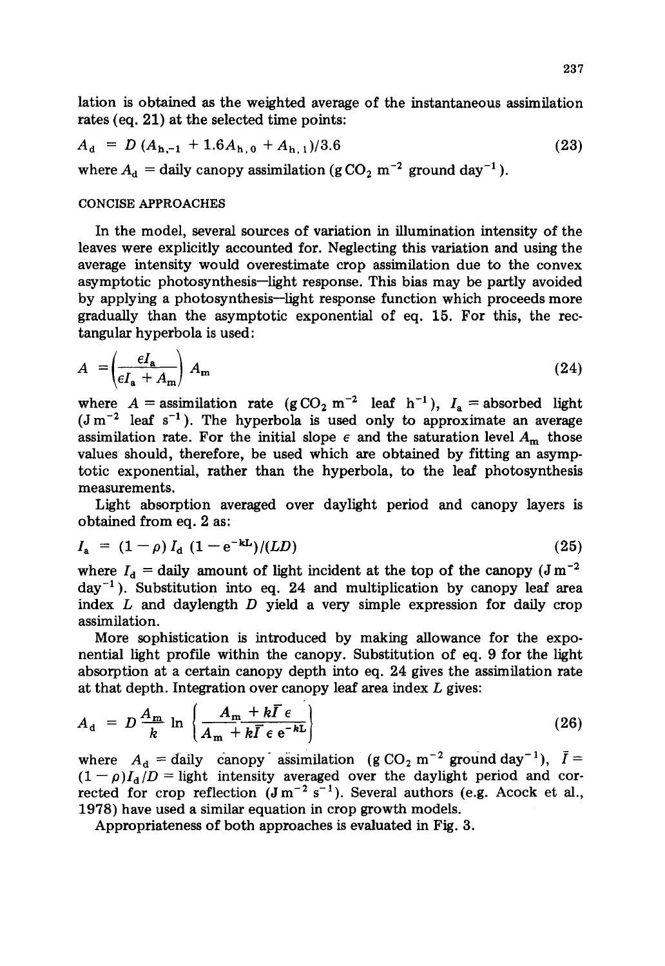lation is obtained as the weighted average of the instantaneous assimilation rates (eq. 21) at the selected time points:

$$
A_{\rm d} = D (A_{\rm h,-1} + 1.6A_{\rm h,0} + A_{\rm h,1})/3.6
$$
 (23)  
where  $A_{\rm d}$  = daily canopy assimilation (g CO<sub>2</sub> m<sup>-2</sup> ground day<sup>-1</sup>).

#### CONCISE APPROACHES

In the model, several sources of variation in illumination intensity of the leaves were explicitly accounted for. Neglecting this variation and using the average intensity would overestimate crop assimilation due to the convex asymptotic photosynthesis--light response. This bias may be partly avoided by applying a photosynthesis--light response function which proceeds more gradually than the asymptotic exponential of eq. 15. For this, the rectangular hyperbola is used:

$$
A = \left(\frac{\epsilon I_{\rm a}}{\epsilon I_{\rm a} + A_{\rm m}}\right) A_{\rm m} \tag{24}
$$

where  $A =$  assimilation rate  $(g\text{CO}_2 \text{ m}^{-2}$  leaf h<sup>-1</sup>),  $I_a =$  absorbed light  $(J m<sup>-2</sup>$  leaf s<sup>-1</sup>). The hyperbola is used only to approximate an average assimilation rate. For the initial slope  $\epsilon$  and the saturation level  $A_m$  those values should, therefore, be used which are obtained by fitting an asymptotic exponential, rather than the hyperbola, to the leaf photosynthesis measurements.

Light absorption averaged over daylight period and canopy layers is obtained from eq. 2 as:

$$
I_{\rm a} = (1 - \rho) I_{\rm d} \ (1 - e^{-kL}) / (LD) \tag{25}
$$

where  $I_d$  = daily amount of light incident at the top of the canopy ( $J m^{-2}$  $day^{-1}$ ). Substitution into eq. 24 and multiplication by canopy leaf area index  $L$  and daylength  $D$  yield a very simple expression for daily crop assimilation.

More sophistication is introduced by making allowance for the exponential light profile within the canopy. Substitution of eq. 9 for the light absorption at a certain canopy depth into eq. 24 gives the assimilation rate at that depth. Integration over canopy leaf area index  $L$  gives:

$$
A_{\rm d} = D \frac{A_{\rm m}}{k} \ln \left\{ \frac{A_{\rm m} + k \overline{I} \epsilon}{A_{\rm m} + k \overline{I} \epsilon \epsilon^{-k \overline{L}}} \right\} \tag{26}
$$

where  $A_d =$  daily canopy assimilation (g CO<sub>2</sub> m<sup>-2</sup> ground day<sup>-1</sup>),  $\bar{I} =$  $(1-\rho)I_d/D =$  light intensity averaged over the daylight period and corrected for crop reflection  $(J m^{-2} s^{-1})$ . Several authors (e.g. Acock et al., 1978) have used a similar equation in crop growth models.

Appropriateness of both approaches is evaluated in Fig. 3.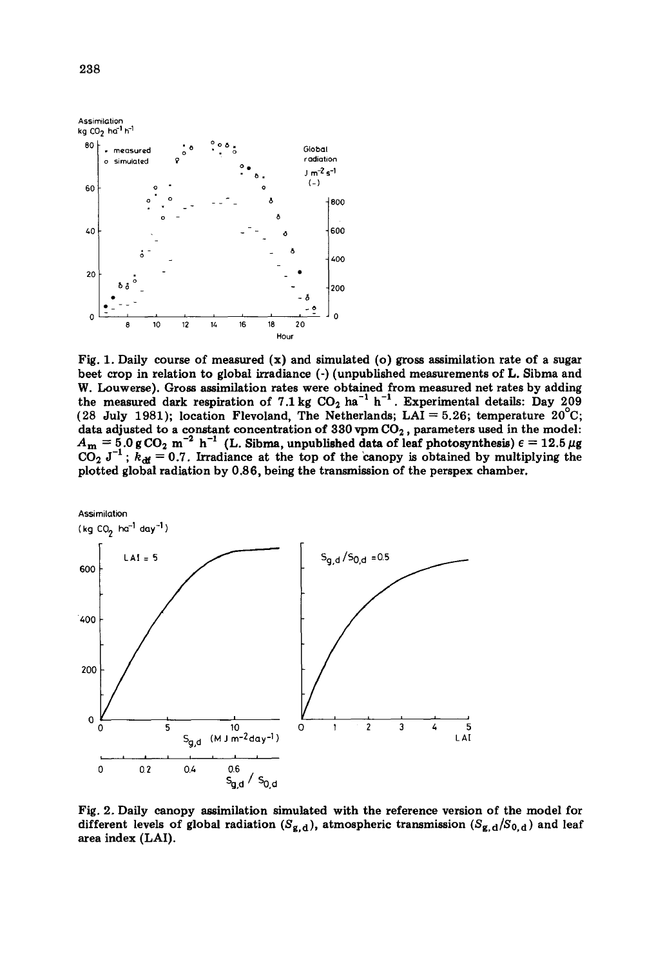

Fig. 1. Daily course of measured  $(x)$  and simulated (o) gross assimilation rate of a sugar beet crop in relation to global irradiance (-) (unpublished measurements of L. Sibrna and W. Louwerse). Gross assimilation rates were obtained from measured net rates by adding the measured dark respiration of 7.1 kg  $CO<sub>2</sub>$  ha<sup>-1</sup> h<sup>-1</sup>. Experimental details: Day 209 (28 July 1981); location Flevoland, The Netherlands; LAI = 5.26; temperature  $20^{\circ}$ C; data adjusted to a constant concentration of 330 vpm  $CO<sub>2</sub>$ , parameters used in the model:  $A_{\rm m}$  = 5.0 g CO<sub>2</sub> m<sup>-2</sup> h<sup>-1</sup> (L. Sibma, unpublished data of leaf photosynthesis)  $\epsilon$  = 12.5  $\mu$ g  $CO_2$  J<sup>-1</sup>;  $k_{\text{df}} = 0.7$ . Irradiance at the top of the canopy is obtained by multiplying the plotted global radiation by 0.86, being the transmission of the perspex chamber.



Fig. 2. Daily canopy assimilation simulated with the reference version of the model for different levels of global radiation  $(S_{g,d})$ , atmospheric transmission  $(S_{g,d}/S_{0,d})$  and leaf area index (LAI).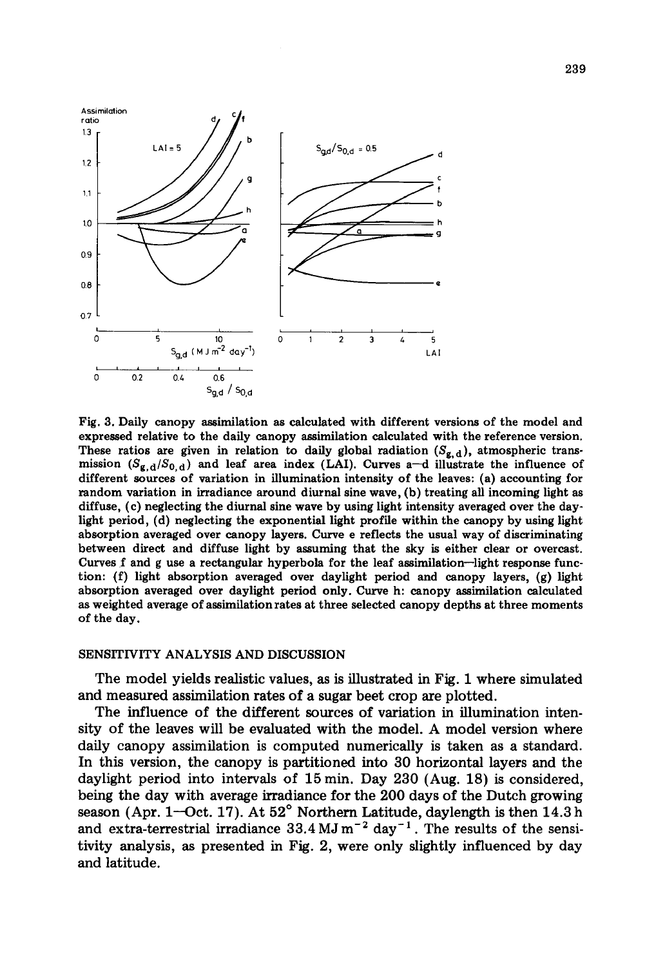

Fig. 3. Daily canopy assimilation as calculated with different versions of the model and expressed relative to the daily canopy assimilation calculated with the reference version. These ratios are given in relation to daily global radiation  $(S_{g,d})$ , atmospheric transmission  $(S_{g,d}/S_{0,d})$  and leaf area index (LAI). Curves a-d illustrate the influence of different sources of variation in illumination intensity of the leaves: (a) accounting for random variation in irradiance around diurnal sine wave, (b) treating all incoming light as diffuse, (c) neglecting the diurnal sine wave by using light intensity averaged over the daylight period, (d) neglecting the exponential light profile within the canopy by using light absorption averaged over canopy layers. Curve e reflects the usual way of discriminating between direct and diffuse light by assuming that the sky is either clear or overcast. Curves f and g use a rectangular hyperbola for the leaf assimilation--light response function: (f) light absorption averaged over daylight period and canopy layers, (g) light absorption averaged over daylight period only. Curve h: canopy assimilation calculated as weighted average of assimilation rates at three selected canopy depths at three moments of the day.

### SENSITIVITY ANALYSIS AND DISCUSSION

The model yields realistic values, as is illustrated in Fig. 1 where simulated and measured assimilation rates of a sugar beet crop are plotted.

The influence of the different sources of variation in illumination intensity of the leaves will be evaluated with the model. A model version where daily canopy assimilation is computed numerically is taken as a standard. In this version, the canopy is partitioned into 30 horizontal layers and the daylight period into intervals of 15 min. Day 230 (Aug. 18) is considered, being the day with average irradiance for the 200 days of the Dutch growing season (Apr. 1-Oct. 17). At 52° Northern Latitude, daylength is then 14.3 h and extra-terrestrial irradiance  $33.4 \text{ MJ m}^{-2}$  day<sup>-1</sup>. The results of the sensitivity analysis, as presented in Fig. 2, were only slightly influenced by day and latitude.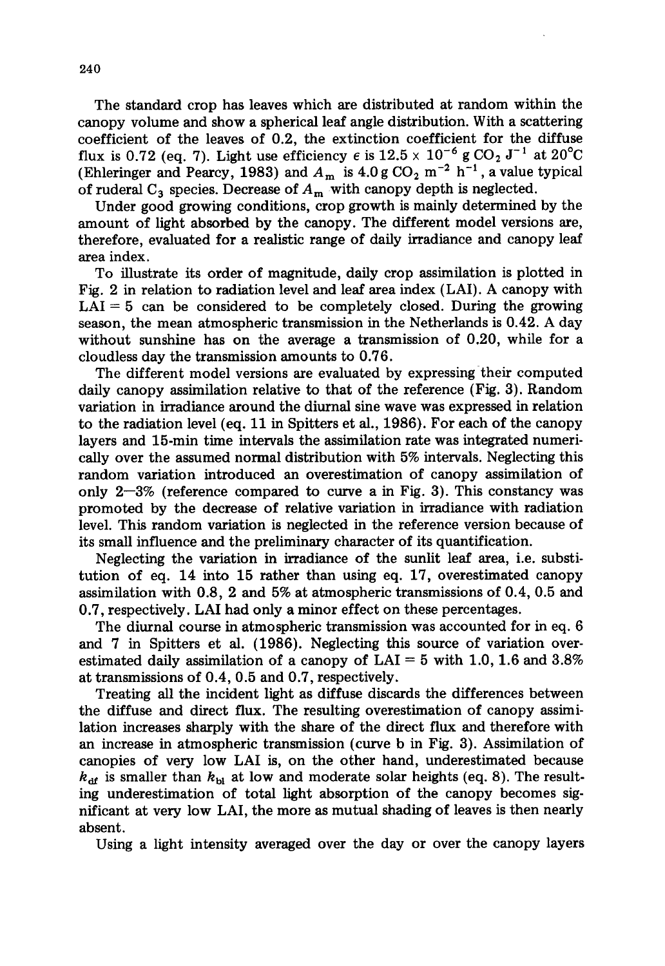The standard crop has leaves which are distributed at random within the canopy volume and show a spherical leaf angle distribution. With a scattering coefficient of the leaves of 0.2, the extinction coefficient for the diffuse flux is 0.72 (eq. 7). Light use efficiency  $\epsilon$  is  $12.5 \times 10^{-6}$  g CO<sub>2</sub> J<sup>-1</sup> at 20<sup>o</sup>C (Ehleringer and Pearcy, 1983) and  $A_m$  is 4.0 g CO<sub>2</sub> m<sup>-2</sup> h<sup>-1</sup>, a value typical of ruderal  $C_3$  species. Decrease of  $A_m$  with canopy depth is neglected.

Under good growing conditions, crop growth is mainly determined by the amount of light absorbed by the canopy. The different model versions are, therefore, evaluated for a realistic range of daily irradiance and canopy leaf area index.

To illustrate its order of magnitude, daily crop assimilation is plotted in Fig. 2 in relation to radiation level and leaf area index (LAD. A canopy with  $LAI = 5$  can be considered to be completely closed. During the growing season, the mean atmospheric transmission in the Netherlands is 0.42. A day without sunshine has on the average a transmission of 0.20, while for a cloudless day the transmission amounts to 0.76.

The different model versions are evaluated by expressing their computed daily canopy assimilation relative to that of the reference (Fig. 3). Random variation in irradiance around the diurnal sine wave was expressed in relation to the radiation level (eq. 11 in Spitters et al., 1986). For each of the canopy layers and 15-min time intervals the assimilation rate was integrated numericaUy over the assumed normal distribution with 5% intervals. Neglecting this random variation introduced an overestimation of canopy assimilation of only  $2-3\%$  (reference compared to curve a in Fig. 3). This constancy was promoted by the decrease of relative variation in irradiance with radiation level. This random variation is neglected in the reference version because of its small influence and the preliminary character of its quantification.

Neglecting the variation in irradiance of the sunlit leaf area, i.e. substitution of eq. 14 into 15 rather than using eq. 17, overestimated canopy assimilation with 0.8, 2 and 5% at atmospheric transmissions of 0.4, 0.5 and 0.7, respectively. LAI had only a minor effect on these percentages.

The diurnal course in atmospheric transmission was accounted for in eq. 6 and 7 in Spitters et al. (1986). Neglecting this source of variation overestimated daily assimilation of a canopy of  $LAI = 5$  with 1.0, 1.6 and 3.8% at transmissions of 0.4, 0.5 and 0.7, respectively.

Treating all the incident light as diffuse discards the differences between the diffuse and direct flux. The resulting overestimation of canopy assimilation increases sharply with the share of the direct flux and therefore with an increase in atmospheric transmission (curve b in Fig. 3). Assimilation of canopies of very low LAI is, on the other hand, underestimated because  $k_{\text{df}}$  is smaller than  $k_{\text{bl}}$  at low and moderate solar heights (eq. 8). The resulting underestimation of total light absorption of the canopy becomes significant at very low LAI, the more as mutual shading of leaves is then nearly absent.

Using a light intensity averaged over the day or over the canopy layers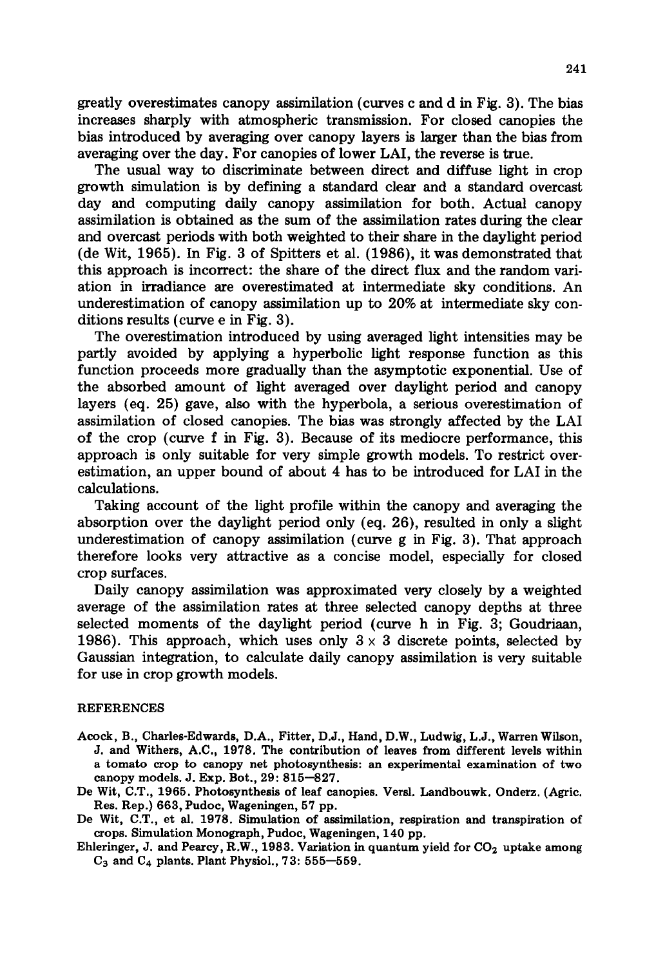greatly overestimates canopy assimilation (curves c and d in Fig. 3). The bias increases sharply with atmospheric transmission. For closed canopies the bias introduced by averaging over canopy layers is larger than the bias from averaging over the day. For canopies of lower LAI, the reverse is true.

The usual way to discriminate between direct and diffuse light in crop growth simulation is by defining a standard clear and a standard overcast day and computing daily canopy assimilation for both. Actual canopy assimilation is obtained as the sum of the assimilation rates during the clear and overcast periods with both weighted to their share in the daylight period (de Wit, 1965). In Fig. 3 of Spitters et al. (1986), it was demonstrated that this approach is incorrect: the share of the direct flux and the random variation in irradiance are overestimated at intermediate sky conditions. An underestimation of canopy assimilation up to 20% at intermediate sky conditions results (curve e in Fig. 3).

The overestimation introduced by using averaged light intensities may be partly avoided by applying a hyperbolic light response function as this function proceeds more gradually than the asymptotic exponential. Use of the absorbed amount of light averaged over daylight period and canopy layers (eq. 25) gave, also with the hyperbola, a serious overestimation of assimilation of closed canopies. The bias was strongly affected by the LAI of the crop (curve f in Fig. 3). Because of its mediocre performance, this approach is only suitable for very simple growth models. To restrict overestimation, an upper bound of about 4 has to be introduced for LAI in the calculations.

Taking account of the light profile within the canopy and averaging the absorption over the daylight period only (eq. 26), resulted in only a slight underestimation of canopy assimilation (curve g in Fig. 3). That approach therefore looks very attractive as a concise model, especially for closed crop surfaces.

Daily canopy assimilation was approximated very closely by a weighted average of the assimilation rates at three selected canopy depths at three selected moments of the daylight period (curve h in Fig. 3; Goudriaan, 1986). This approach, which uses only  $3 \times 3$  discrete points, selected by Gaussian integration, to calculate daily canopy assimilation is very suitable for use in crop growth models.

### **REFERENCES**

- **Acock, B., Charles-Edwards, D.A., Fitter, D.J., Hand, D.W., Ludwig, L.J., Warren Wilson, J. and Withers, A.C., 1978. The contribution of leaves from different levels within a tomato crop to canopy net photosynthesis: an experimental examination of two canopy models. J. Exp. Bot., 29: 815--827.**
- **De Wit, C.T., 1965. Photosynthesis of leaf canopies. Versl. Landbouwk. Onderz. (Agric. Res. Rep.) 663, Pudoc, Wageningen, 57 pp.**
- **De Wit, C.T., et al. 1978. Simulation of assimilation, respiration and transpiration of crops. Simulation Monograph, Pudoc, Wageningen, 140 pp.**
- Ehleringer, J. and Pearcy, R.W., 1983. Variation in quantum yield for CO<sub>2</sub> uptake among **C3 and C4 plants. Plant Physiol., 73: 555--559.**